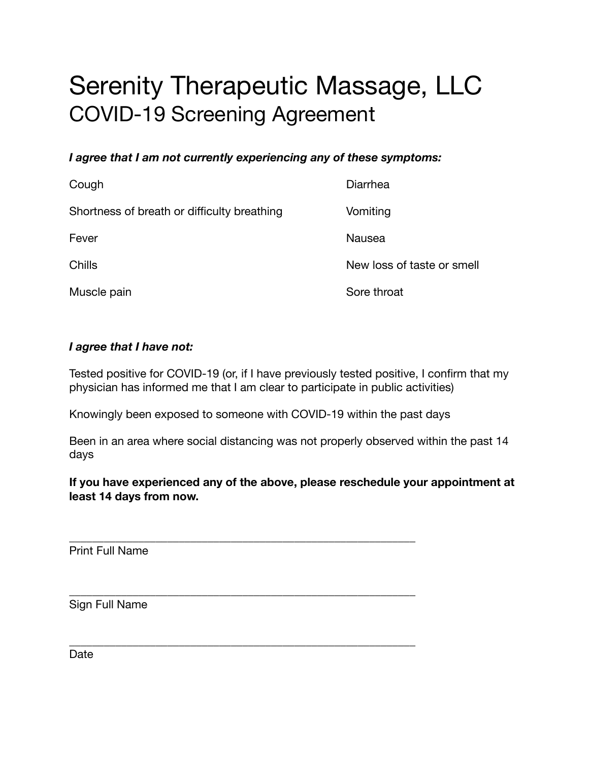# Serenity Therapeutic Massage, LLC COVID-19 Screening Agreement

#### *I agree that I am not currently experiencing any of these symptoms:*

| Cough                                       | Diarrhea                   |
|---------------------------------------------|----------------------------|
| Shortness of breath or difficulty breathing | Vomiting                   |
| Fever                                       | Nausea                     |
| Chills                                      | New loss of taste or smell |
| Muscle pain                                 | Sore throat                |

#### *I agree that I have not:*

Tested positive for COVID-19 (or, if I have previously tested positive, I confirm that my physician has informed me that I am clear to participate in public activities)

Knowingly been exposed to someone with COVID-19 within the past days

\_\_\_\_\_\_\_\_\_\_\_\_\_\_\_\_\_\_\_\_\_\_\_\_\_\_\_\_\_\_\_\_\_\_\_\_\_\_\_\_\_\_\_\_\_\_\_\_\_\_\_\_\_\_\_\_\_\_\_\_

\_\_\_\_\_\_\_\_\_\_\_\_\_\_\_\_\_\_\_\_\_\_\_\_\_\_\_\_\_\_\_\_\_\_\_\_\_\_\_\_\_\_\_\_\_\_\_\_\_\_\_\_\_\_\_\_\_\_\_\_

\_\_\_\_\_\_\_\_\_\_\_\_\_\_\_\_\_\_\_\_\_\_\_\_\_\_\_\_\_\_\_\_\_\_\_\_\_\_\_\_\_\_\_\_\_\_\_\_\_\_\_\_\_\_\_\_\_\_\_\_

Been in an area where social distancing was not properly observed within the past 14 days

**If you have experienced any of the above, please reschedule your appointment at least 14 days from now.** 

Print Full Name

Sign Full Name

Date